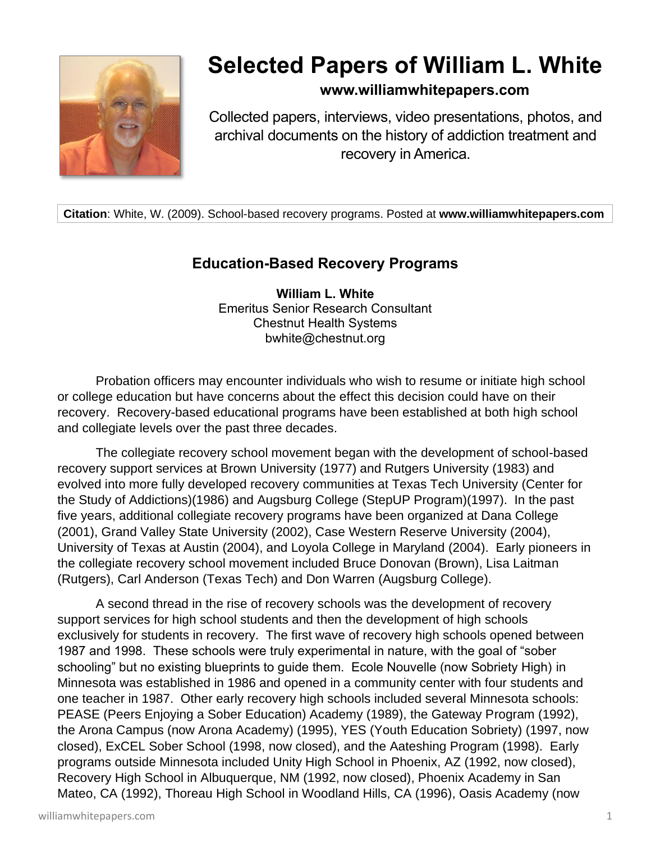

# **Selected Papers of William L. White**

### **www.williamwhitepapers.com**

Collected papers, interviews, video presentations, photos, and archival documents on the history of addiction treatment and recovery in America.

**Citation**: White, W. (2009). School-based recovery programs. Posted at **www.williamwhitepapers.com**

## **Education-Based Recovery Programs**

**William L. White** Emeritus Senior Research Consultant Chestnut Health Systems bwhite@chestnut.org

Probation officers may encounter individuals who wish to resume or initiate high school or college education but have concerns about the effect this decision could have on their recovery. Recovery-based educational programs have been established at both high school and collegiate levels over the past three decades.

The collegiate recovery school movement began with the development of school-based recovery support services at Brown University (1977) and Rutgers University (1983) and evolved into more fully developed recovery communities at Texas Tech University (Center for the Study of Addictions)(1986) and Augsburg College (StepUP Program)(1997). In the past five years, additional collegiate recovery programs have been organized at Dana College (2001), Grand Valley State University (2002), Case Western Reserve University (2004), University of Texas at Austin (2004), and Loyola College in Maryland (2004). Early pioneers in the collegiate recovery school movement included Bruce Donovan (Brown), Lisa Laitman (Rutgers), Carl Anderson (Texas Tech) and Don Warren (Augsburg College).

A second thread in the rise of recovery schools was the development of recovery support services for high school students and then the development of high schools exclusively for students in recovery. The first wave of recovery high schools opened between 1987 and 1998. These schools were truly experimental in nature, with the goal of "sober schooling" but no existing blueprints to guide them. Ecole Nouvelle (now Sobriety High) in Minnesota was established in 1986 and opened in a community center with four students and one teacher in 1987. Other early recovery high schools included several Minnesota schools: PEASE (Peers Enjoying a Sober Education) Academy (1989), the Gateway Program (1992), the Arona Campus (now Arona Academy) (1995), YES (Youth Education Sobriety) (1997, now closed), ExCEL Sober School (1998, now closed), and the Aateshing Program (1998). Early programs outside Minnesota included Unity High School in Phoenix, AZ (1992, now closed), Recovery High School in Albuquerque, NM (1992, now closed), Phoenix Academy in San Mateo, CA (1992), Thoreau High School in Woodland Hills, CA (1996), Oasis Academy (now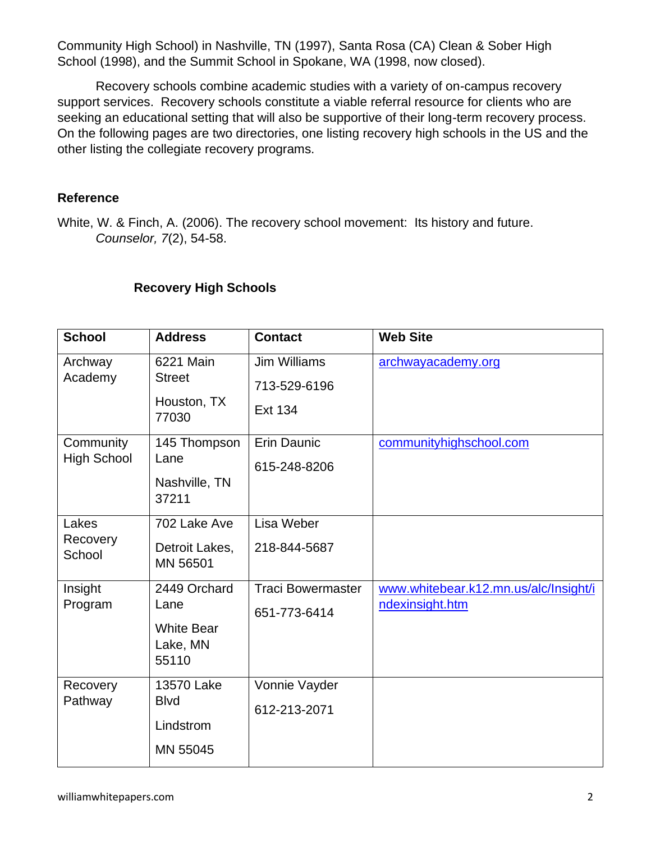Community High School) in Nashville, TN (1997), Santa Rosa (CA) Clean & Sober High School (1998), and the Summit School in Spokane, WA (1998, now closed).

Recovery schools combine academic studies with a variety of on-campus recovery support services. Recovery schools constitute a viable referral resource for clients who are seeking an educational setting that will also be supportive of their long-term recovery process. On the following pages are two directories, one listing recovery high schools in the US and the other listing the collegiate recovery programs.

#### **Reference**

White, W. & Finch, A. (2006). The recovery school movement: Its history and future. *Counselor, 7*(2), 54-58.

| <b>School</b>                   | <b>Address</b>                                                 | <b>Contact</b>                                        | <b>Web Site</b>                                          |
|---------------------------------|----------------------------------------------------------------|-------------------------------------------------------|----------------------------------------------------------|
| Archway<br>Academy              | 6221 Main<br><b>Street</b><br>Houston, TX<br>77030             | <b>Jim Williams</b><br>713-529-6196<br><b>Ext 134</b> | archwayacademy.org                                       |
| Community<br><b>High School</b> | 145 Thompson<br>Lane<br>Nashville, TN<br>37211                 | Erin Daunic<br>615-248-8206                           | communityhighschool.com                                  |
| Lakes<br>Recovery<br>School     | 702 Lake Ave<br>Detroit Lakes,<br>MN 56501                     | Lisa Weber<br>218-844-5687                            |                                                          |
| Insight<br>Program              | 2449 Orchard<br>Lane<br><b>White Bear</b><br>Lake, MN<br>55110 | <b>Traci Bowermaster</b><br>651-773-6414              | www.whitebear.k12.mn.us/alc/Insight/i<br>ndexinsight.htm |
| Recovery<br>Pathway             | 13570 Lake<br><b>B</b> lvd<br>Lindstrom<br>MN 55045            | Vonnie Vayder<br>612-213-2071                         |                                                          |

#### **Recovery High Schools**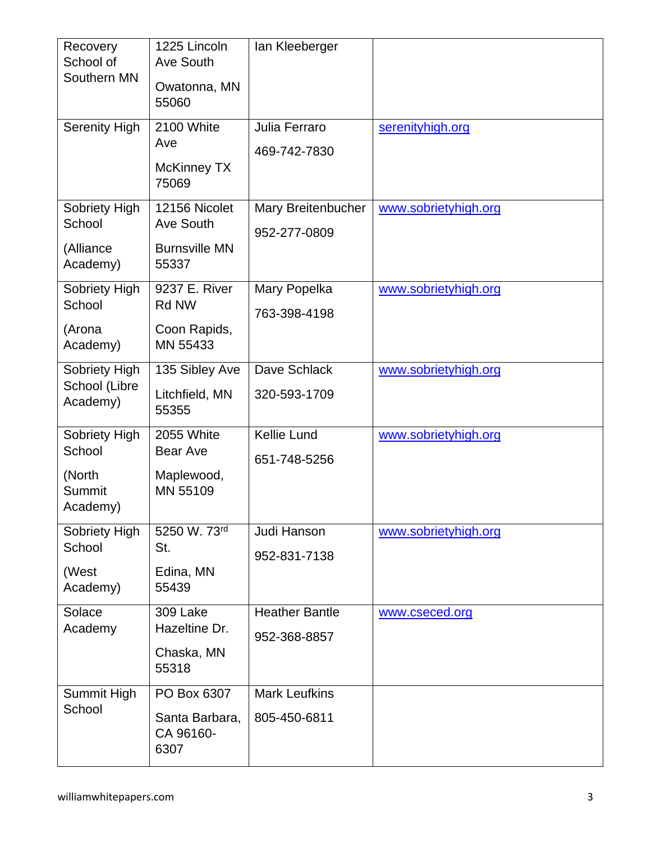| Recovery                  | 1225 Lincoln                  | lan Kleeberger        |                      |
|---------------------------|-------------------------------|-----------------------|----------------------|
| School of<br>Southern MN  | Ave South                     |                       |                      |
|                           | Owatonna, MN<br>55060         |                       |                      |
| <b>Serenity High</b>      | 2100 White                    | Julia Ferraro         | serenityhigh.org     |
|                           | Ave                           | 469-742-7830          |                      |
|                           | McKinney TX<br>75069          |                       |                      |
| Sobriety High<br>School   | 12156 Nicolet<br>Ave South    | Mary Breitenbucher    | www.sobrietyhigh.org |
|                           |                               | 952-277-0809          |                      |
| (Alliance<br>Academy)     | <b>Burnsville MN</b><br>55337 |                       |                      |
| Sobriety High             | 9237 E. River                 | Mary Popelka          | www.sobrietyhigh.org |
| School                    | <b>Rd NW</b>                  | 763-398-4198          |                      |
| (Arona                    | Coon Rapids,                  |                       |                      |
| Academy)                  | MN 55433                      |                       |                      |
| Sobriety High             | 135 Sibley Ave                | Dave Schlack          | www.sobrietyhigh.org |
| School (Libre<br>Academy) | Litchfield, MN<br>55355       | 320-593-1709          |                      |
|                           |                               |                       |                      |
| Sobriety High<br>School   | 2055 White<br><b>Bear Ave</b> | Kellie Lund           | www.sobrietyhigh.org |
| (North                    | Maplewood,                    | 651-748-5256          |                      |
| Summit                    | MN 55109                      |                       |                      |
| Academy)                  |                               |                       |                      |
| Sobriety High             | 5250 W. 73rd                  | Judi Hanson           | www.sobrietyhigh.org |
| School                    | St.                           | 952-831-7138          |                      |
| (West                     | Edina, MN                     |                       |                      |
| Academy)                  | 55439                         |                       |                      |
| Solace                    | 309 Lake                      | <b>Heather Bantle</b> | www.cseced.org       |
| Academy                   | Hazeltine Dr.                 | 952-368-8857          |                      |
|                           | Chaska, MN<br>55318           |                       |                      |
| Summit High               | PO Box 6307                   | <b>Mark Leufkins</b>  |                      |
| School                    | Santa Barbara,                | 805-450-6811          |                      |
|                           | CA 96160-<br>6307             |                       |                      |
|                           |                               |                       |                      |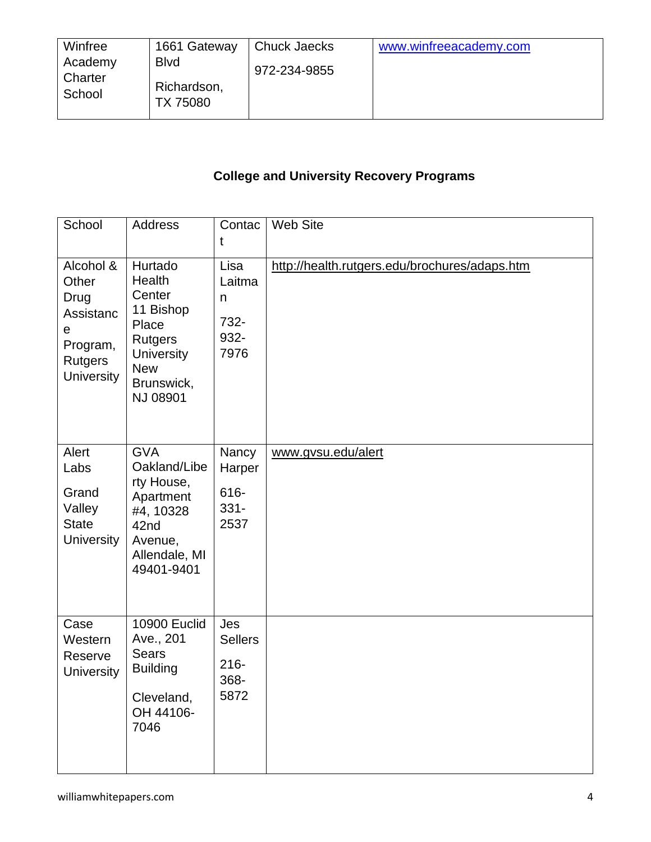| Winfree                      | 1661 Gateway                            | <b>Chuck Jaecks</b> | www.winfreeacademy.com |
|------------------------------|-----------------------------------------|---------------------|------------------------|
| Academy<br>Charter<br>School | <b>B</b> lvd<br>Richardson,<br>TX 75080 | 972-234-9855        |                        |

# **College and University Recovery Programs**

| School                                                                                          | Address                                                                                                                          | Contac<br>t                                      | Web Site                                      |
|-------------------------------------------------------------------------------------------------|----------------------------------------------------------------------------------------------------------------------------------|--------------------------------------------------|-----------------------------------------------|
| Alcohol &<br>Other<br>Drug<br>Assistanc<br>е<br>Program,<br><b>Rutgers</b><br><b>University</b> | Hurtado<br>Health<br>Center<br>11 Bishop<br>Place<br><b>Rutgers</b><br><b>University</b><br><b>New</b><br>Brunswick,<br>NJ 08901 | Lisa<br>Laitma<br>n<br>732-<br>932-<br>7976      | http://health.rutgers.edu/brochures/adaps.htm |
| Alert<br>Labs<br>Grand<br>Valley<br><b>State</b><br><b>University</b>                           | <b>GVA</b><br>Oakland/Libe<br>rty House,<br>Apartment<br>#4, 10328<br>42nd<br>Avenue,<br>Allendale, MI<br>49401-9401             | Nancy<br>Harper<br>616-<br>$331 -$<br>2537       | www.gvsu.edu/alert                            |
| Case<br>Western<br>Reserve<br><b>University</b>                                                 | <b>10900 Euclid</b><br>Ave., 201<br><b>Sears</b><br><b>Building</b><br>Cleveland,<br>OH 44106-<br>7046                           | Jes<br><b>Sellers</b><br>$216 -$<br>368-<br>5872 |                                               |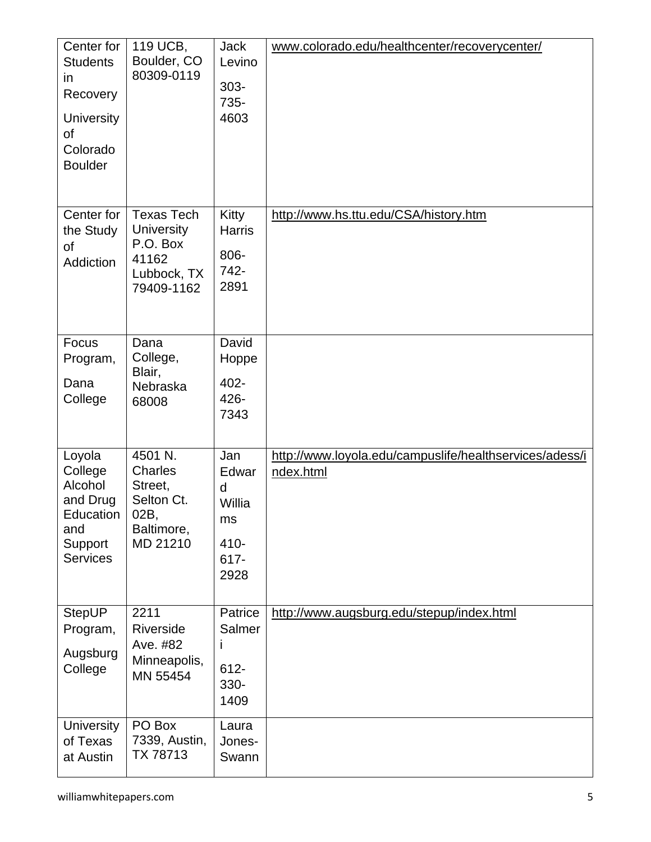| Center for<br><b>Students</b><br>in<br>Recovery<br><b>University</b><br>οf<br>Colorado<br><b>Boulder</b> | 119 UCB,<br>Boulder, CO<br>80309-0119                                                    | <b>Jack</b><br>Levino<br>$303 -$<br>735-<br>4603          | www.colorado.edu/healthcenter/recoverycenter/                        |
|----------------------------------------------------------------------------------------------------------|------------------------------------------------------------------------------------------|-----------------------------------------------------------|----------------------------------------------------------------------|
| Center for<br>the Study<br><b>of</b><br>Addiction                                                        | <b>Texas Tech</b><br><b>University</b><br>P.O. Box<br>41162<br>Lubbock, TX<br>79409-1162 | <b>Kitty</b><br><b>Harris</b><br>806-<br>742-<br>2891     | http://www.hs.ttu.edu/CSA/history.htm                                |
| Focus<br>Program,<br>Dana<br>College                                                                     | Dana<br>College,<br>Blair,<br>Nebraska<br>68008                                          | David<br>Hoppe<br>402-<br>426-<br>7343                    |                                                                      |
| Loyola<br>College<br>Alcohol<br>and Drug<br>Education<br>and<br>Support<br><b>Services</b>               | 4501 N.<br>Charles<br>Street,<br>Selton Ct.<br>02B,<br>Baltimore,<br>MD 21210            | Jan<br>Edwar<br>d<br>Willia<br>ms<br>410-<br>617-<br>2928 | http://www.loyola.edu/campuslife/healthservices/adess/i<br>ndex.html |
| <b>StepUP</b><br>Program,<br>Augsburg<br>College                                                         | 2211<br>Riverside<br>Ave. #82<br>Minneapolis,<br>MN 55454                                | Patrice<br>Salmer<br>Ť<br>$612 -$<br>330-<br>1409         | http://www.augsburg.edu/stepup/index.html                            |
| <b>University</b><br>of Texas<br>at Austin                                                               | PO Box<br>7339, Austin,<br>TX 78713                                                      | Laura<br>Jones-<br>Swann                                  |                                                                      |